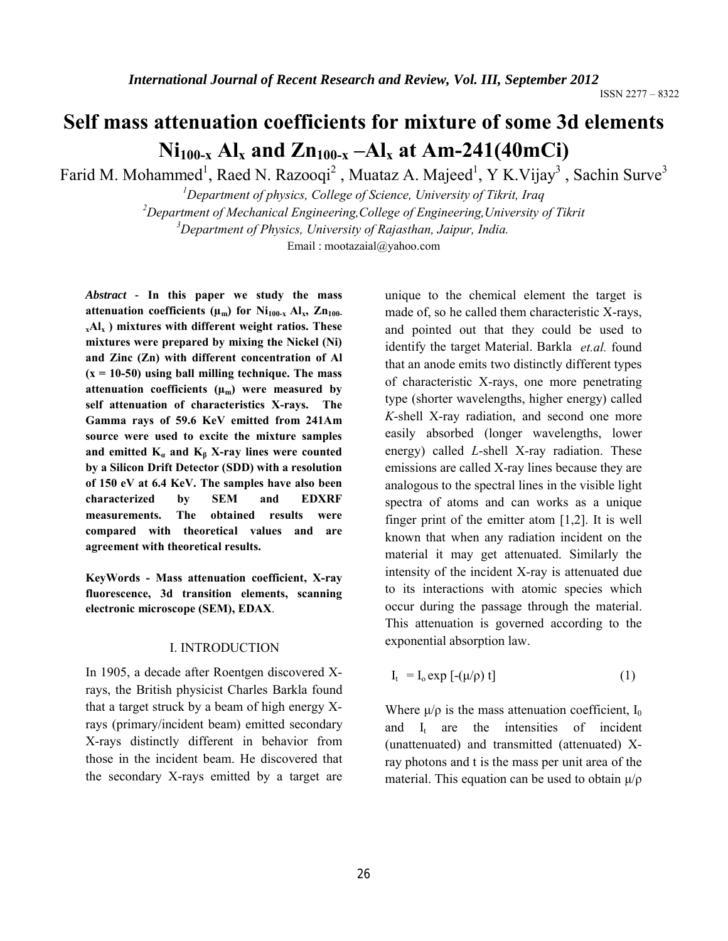# **Self mass attenuation coefficients for mixture of some 3d elements**   $Ni<sub>100-x</sub> Al<sub>x</sub>$  **and Zn**<sub>100-x</sub> –Al<sub>x</sub> at Am-241(40mCi)

Farid M. Mohammed<sup>1</sup>, Raed N. Razooqi<sup>2</sup>, Muataz A. Majeed<sup>1</sup>, Y K. Vijay<sup>3</sup>, Sachin Surve<sup>3</sup>

 *Department of physics, College of Science, University of Tikrit, Iraq Department of Mechanical Engineering,College of Engineering,University of Tikrit Department of Physics, University of Rajasthan, Jaipur, India.* Email : mootazaial@yahoo.com

*Abstract -* **In this paper we study the mass**  attenuation coefficients  $(\mu_m)$  for  $Ni_{100-x}$   $Al_x$ ,  $Zn_{100-}$ **xAlx ) mixtures with different weight ratios. These mixtures were prepared by mixing the Nickel (Ni) and Zinc (Zn) with different concentration of Al (x = 10-50) using ball milling technique. The mass**  attenuation coefficients  $(\mu_m)$  were measured by **self attenuation of characteristics X-rays. The Gamma rays of 59.6 KeV emitted from 241Am source were used to excite the mixture samples**  and emitted  $K_a$  and  $K_b$  X-ray lines were counted **by a Silicon Drift Detector (SDD) with a resolution of 150 eV at 6.4 KeV. The samples have also been characterized by SEM and EDXRF measurements. The obtained results were compared with theoretical values and are agreement with theoretical results.**

**KeyWords - Mass attenuation coefficient, X-ray fluorescence, 3d transition elements, scanning electronic microscope (SEM), EDAX**.

#### I. INTRODUCTION

In 1905, a decade after Roentgen discovered Xrays, the British physicist Charles Barkla found that a target struck by a beam of high energy Xrays (primary/incident beam) emitted secondary X-rays distinctly different in behavior from those in the incident beam. He discovered that the secondary X-rays emitted by a target are unique to the chemical element the target is made of, so he called them characteristic X-rays, and pointed out that they could be used to identify the target Material. Barkla *et.al.* found that an anode emits two distinctly different types of characteristic X-rays, one more penetrating type (shorter wavelengths, higher energy) called *K*-shell X-ray radiation, and second one more easily absorbed (longer wavelengths, lower energy) called *L*-shell X-ray radiation. These emissions are called X-ray lines because they are analogous to the spectral lines in the visible light spectra of atoms and can works as a unique finger print of the emitter atom [1,2]. It is well known that when any radiation incident on the material it may get attenuated. Similarly the intensity of the incident X-ray is attenuated due to its interactions with atomic species which occur during the passage through the material. This attenuation is governed according to the exponential absorption law.

$$
I_t = I_o \exp\left[-(\mu/\rho) t\right] \tag{1}
$$

Where  $\mu/\rho$  is the mass attenuation coefficient, I<sub>0</sub> and I<sub>t</sub> are the intensities of incident (unattenuated) and transmitted (attenuated) Xray photons and t is the mass per unit area of the material. This equation can be used to obtain  $\mu/\rho$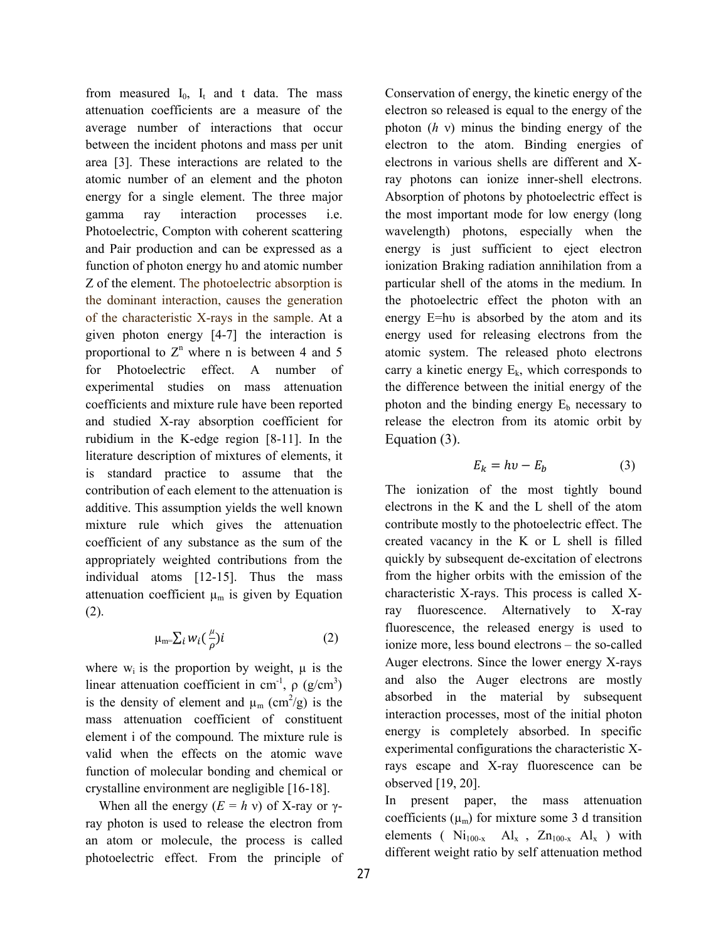from measured  $I_0$ ,  $I_t$  and t data. The mass attenuation coefficients are a measure of the average number of interactions that occur between the incident photons and mass per unit area [3]. These interactions are related to the atomic number of an element and the photon energy for a single element. The three major gamma ray interaction processes i.e. Photoelectric, Compton with coherent scattering and Pair production and can be expressed as a function of photon energy hυ and atomic number Z of the element. The photoelectric absorption is the dominant interaction, causes the generation of the characteristic X-rays in the sample. At a given photon energy [4-7] the interaction is proportional to  $Z<sup>n</sup>$  where n is between 4 and 5 for Photoelectric effect. A number of experimental studies on mass attenuation coefficients and mixture rule have been reported and studied X-ray absorption coefficient for rubidium in the K-edge region [8-11]. In the literature description of mixtures of elements, it is standard practice to assume that the contribution of each element to the attenuation is additive. This assumption yields the well known mixture rule which gives the attenuation coefficient of any substance as the sum of the appropriately weighted contributions from the individual atoms [12-15]. Thus the mass attenuation coefficient  $\mu_m$  is given by Equation (2).

$$
\mu_{m} = \sum_{i} w_i \left(\frac{\mu}{\rho}\right) i \tag{2}
$$

where  $w_i$  is the proportion by weight,  $\mu$  is the linear attenuation coefficient in cm<sup>-1</sup>,  $\rho$  (g/cm<sup>3</sup>) is the density of element and  $\mu_m$  (cm<sup>2</sup>/g) is the mass attenuation coefficient of constituent element i of the compound. The mixture rule is valid when the effects on the atomic wave function of molecular bonding and chemical or crystalline environment are negligible [16-18].

When all the energy  $(E = h v)$  of X-ray or  $\gamma$ ray photon is used to release the electron from an atom or molecule, the process is called photoelectric effect. From the principle of Conservation of energy, the kinetic energy of the electron so released is equal to the energy of the photon (*h* ν) minus the binding energy of the electron to the atom. Binding energies of electrons in various shells are different and Xray photons can ionize inner-shell electrons. Absorption of photons by photoelectric effect is the most important mode for low energy (long wavelength) photons, especially when the energy is just sufficient to eject electron ionization Braking radiation annihilation from a particular shell of the atoms in the medium. In the photoelectric effect the photon with an energy E=hu is absorbed by the atom and its energy used for releasing electrons from the atomic system. The released photo electrons carry a kinetic energy  $E_k$ , which corresponds to the difference between the initial energy of the photon and the binding energy  $E_b$  necessary to release the electron from its atomic orbit by Equation (3).

$$
E_k = hv - E_b \tag{3}
$$

The ionization of the most tightly bound electrons in the K and the L shell of the atom contribute mostly to the photoelectric effect. The created vacancy in the K or L shell is filled quickly by subsequent de-excitation of electrons from the higher orbits with the emission of the characteristic X-rays. This process is called Xray fluorescence. Alternatively to X-ray fluorescence, the released energy is used to ionize more, less bound electrons – the so-called Auger electrons. Since the lower energy X-rays and also the Auger electrons are mostly absorbed in the material by subsequent interaction processes, most of the initial photon energy is completely absorbed. In specific experimental configurations the characteristic Xrays escape and X-ray fluorescence can be observed [19, 20].

In present paper, the mass attenuation coefficients  $(\mu_m)$  for mixture some 3 d transition elements ( $Ni<sub>100-x</sub>$   $Al<sub>x</sub>$ ,  $Zn<sub>100-x</sub>$   $Al<sub>x</sub>$ ) with different weight ratio by self attenuation method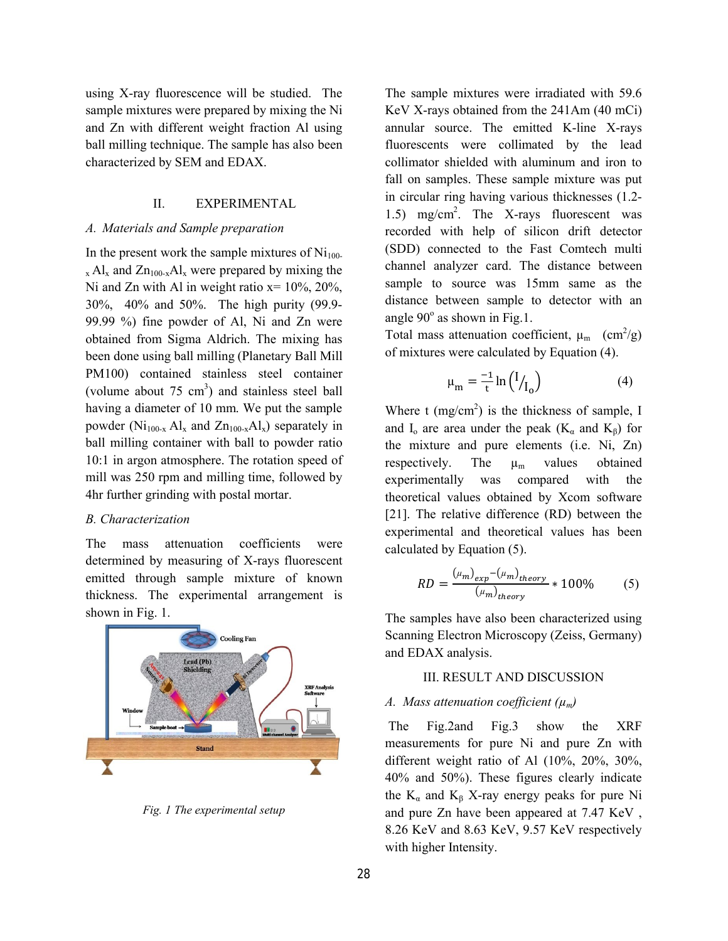using X-ray fluorescence will be studied. The sample mixtures were prepared by mixing the Ni and Zn with different weight fraction Al using ball milling technique. The sample has also been characterized by SEM and EDAX.

#### II. EXPERIMENTAL

## *A. Materials and Sample preparation*

In the present work the sample mixtures of  $Ni<sub>100</sub>$  $_{x}$  Al<sub>x</sub> and Zn<sub>100-x</sub>Al<sub>x</sub> were prepared by mixing the Ni and Zn with Al in weight ratio  $x = 10\%$ , 20%, 30%, 40% and 50%. The high purity (99.9- 99.99 %) fine powder of Al, Ni and Zn were obtained from Sigma Aldrich. The mixing has been done using ball milling (Planetary Ball Mill PM100) contained stainless steel container (volume about  $75 \text{ cm}^3$ ) and stainless steel ball having a diameter of 10 mm. We put the sample powder ( $Ni<sub>100-x</sub> Al<sub>x</sub>$  and  $Zn<sub>100-x</sub> Al<sub>x</sub>$ ) separately in ball milling container with ball to powder ratio 10:1 in argon atmosphere. The rotation speed of mill was 250 rpm and milling time, followed by 4hr further grinding with postal mortar.

#### *B. Characterization*

The mass attenuation coefficients were determined by measuring of X-rays fluorescent emitted through sample mixture of known thickness. The experimental arrangement is shown in Fig. 1.



*Fig. 1 The experimental setup*

The sample mixtures were irradiated with 59.6 KeV X-rays obtained from the 241Am (40 mCi) annular source. The emitted K-line X-rays fluorescents were collimated by the lead collimator shielded with aluminum and iron to fall on samples. These sample mixture was put in circular ring having various thicknesses (1.2- 1.5) mg/cm2 . The X-rays fluorescent was recorded with help of silicon drift detector (SDD) connected to the Fast Comtech multi channel analyzer card. The distance between sample to source was 15mm same as the distance between sample to detector with an angle  $90^\circ$  as shown in Fig.1.

Total mass attenuation coefficient,  $\mu_{m}$  (cm<sup>2</sup>/g) of mixtures were calculated by Equation (4).

$$
\mu_{\rm m} = \frac{-1}{t} \ln \left( \frac{I}{I_0} \right) \tag{4}
$$

Where  $t \text{ (mg/cm}^2)$  is the thickness of sample, I and I<sub>o</sub> are area under the peak ( $K_\alpha$  and  $K_\beta$ ) for the mixture and pure elements (i.e. Ni, Zn) respectively. The  $\mu_{m}$  values obtained experimentally was compared with the theoretical values obtained by Xcom software [21]. The relative difference (RD) between the experimental and theoretical values has been calculated by Equation (5).

$$
RD = \frac{(\mu_m)_{exp} - (\mu_m)_{theory}}{(\mu_m)_{theory}} * 100\% \tag{5}
$$

The samples have also been characterized using Scanning Electron Microscopy (Zeiss, Germany) and EDAX analysis.

#### III. RESULT AND DISCUSSION

### *A. Mass attenuation coefficient (µm)*

The Fig.2and Fig.3 show the XRF measurements for pure Ni and pure Zn with different weight ratio of Al (10%, 20%, 30%, 40% and 50%). These figures clearly indicate the  $K_{\alpha}$  and  $K_{\beta}$  X-ray energy peaks for pure Ni and pure Zn have been appeared at 7.47 KeV , 8.26 KeV and 8.63 KeV, 9.57 KeV respectively with higher Intensity.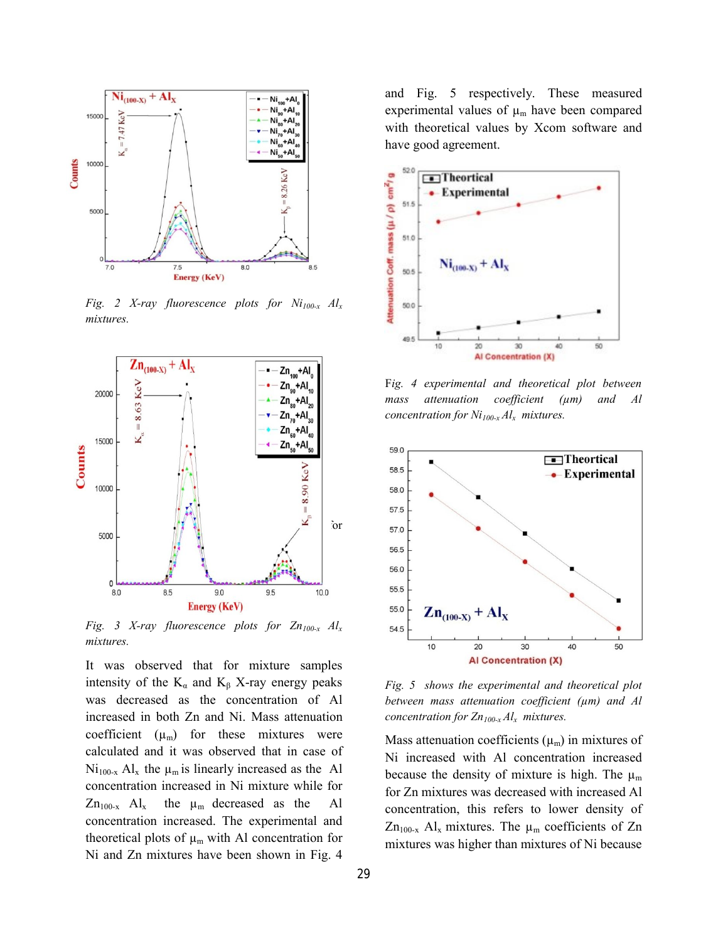

*Fig. 2 X-ray fluorescence plots for Ni100-x Alx mixtures.*



*Fig. 3 X-ray fluorescence plots for Zn100-x Alx mixtures.*

It was observed that for mixture samples intensity of the  $K_{\alpha}$  and  $K_{\beta}$  X-ray energy peaks was decreased as the concentration of Al increased in both Zn and Ni. Mass attenuation coefficient  $(\mu_m)$  for these mixtures were calculated and it was observed that in case of  $Ni<sub>100-x</sub> Al<sub>x</sub>$  the  $\mu_m$  is linearly increased as the Al concentration increased in Ni mixture while for  $Zn_{100-x}$  Al<sub>x</sub> the  $\mu_m$  decreased as the Al concentration increased. The experimental and theoretical plots of  $\mu_m$  with Al concentration for Ni and Zn mixtures have been shown in Fig. 4

and Fig. 5 respectively. These measured experimental values of  $\mu_m$  have been compared with theoretical values by Xcom software and have good agreement.



F*ig. 4 experimental and theoretical plot between mass attenuation coefficient (µm) and Al concentration for*  $Ni_{100-x}Al_x$  *mixtures.* 



*Fig. 5 shows the experimental and theoretical plot between mass attenuation coefficient (µm) and Al concentration for*  $Zn_{100-x}Al_x$  *mixtures.* 

Mass attenuation coefficients  $(\mu_m)$  in mixtures of Ni increased with Al concentration increased because the density of mixture is high. The  $\mu_m$ for Zn mixtures was decreased with increased Al concentration, this refers to lower density of  $Zn_{100-x}$  Al<sub>x</sub> mixtures. The  $\mu_m$  coefficients of Zn mixtures was higher than mixtures of Ni because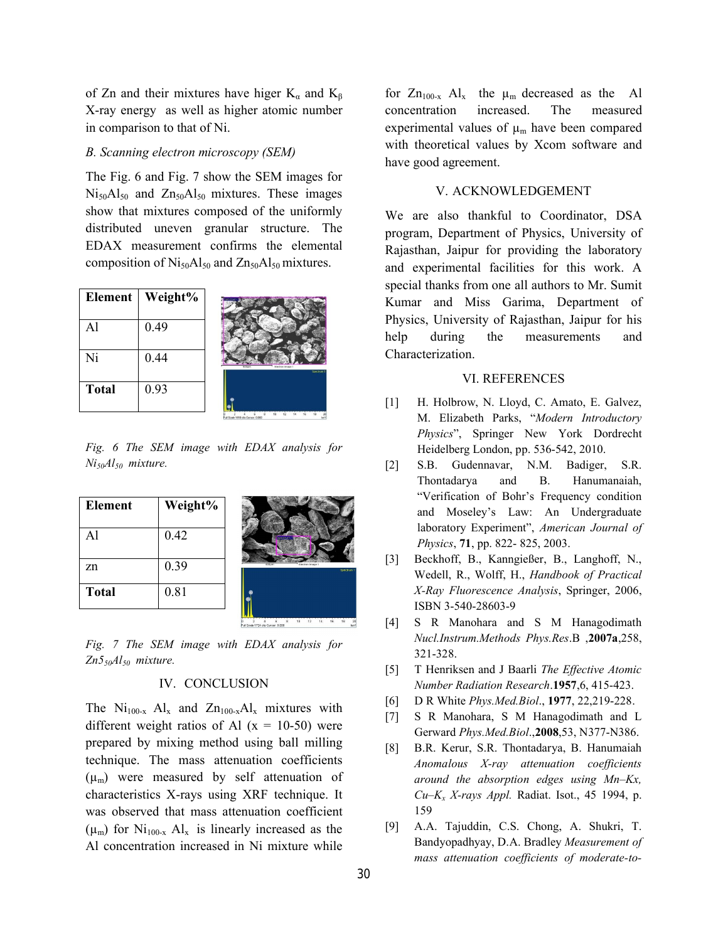of Zn and their mixtures have higer  $K_{\alpha}$  and  $K_{\beta}$ X-ray energy as well as higher atomic number in comparison to that of Ni.

#### *B. Scanning electron microscopy (SEM)*

The Fig. 6 and Fig. 7 show the SEM images for  $Ni<sub>50</sub>Al<sub>50</sub>$  and  $Zn<sub>50</sub>Al<sub>50</sub>$  mixtures. These images show that mixtures composed of the uniformly distributed uneven granular structure. The EDAX measurement confirms the elemental composition of  $Ni<sub>50</sub>Al<sub>50</sub>$  and  $Zn<sub>50</sub>Al<sub>50</sub>$  mixtures.

| <b>Element</b> | Weight% |                                            |
|----------------|---------|--------------------------------------------|
| $\mathbf{Al}$  | 0.49    |                                            |
| Ni             | 0.44    | Electron Impge 1<br>20 Chum<br>Countries 4 |
| <b>Total</b>   | 0.93    |                                            |

*Fig. 6 The SEM image with EDAX analysis for Ni50Al50 mixture.*

| <b>Element</b> | Weight% |                                          |
|----------------|---------|------------------------------------------|
| Al             | 0.42    | Spectrum 1                               |
| zn             | 0.39    | Electron Image 1<br>diffum<br>Spectrum 1 |
| <b>Total</b>   | 0.81    |                                          |
|                |         | Full Scale 1724 cts Curson 0.000         |

*Fig. 7 The SEM image with EDAX analysis for Zn550Al50 mixture.*

### IV. CONCLUSION

The  $Ni<sub>100-x</sub> Al<sub>x</sub>$  and  $Zn<sub>100-x</sub>Al<sub>x</sub>$  mixtures with different weight ratios of Al  $(x = 10-50)$  were prepared by mixing method using ball milling technique. The mass attenuation coefficients  $(\mu_m)$  were measured by self attenuation of characteristics X-rays using XRF technique. It was observed that mass attenuation coefficient  $(\mu_m)$  for Ni<sub>100-x</sub> Al<sub>x</sub> is linearly increased as the Al concentration increased in Ni mixture while

for  $Zn_{100-x}$  Al<sub>x</sub> the  $\mu_m$  decreased as the Al concentration increased. The measured experimental values of  $\mu_m$  have been compared with theoretical values by Xcom software and have good agreement.

#### V. ACKNOWLEDGEMENT

We are also thankful to Coordinator, DSA program, Department of Physics, University of Rajasthan, Jaipur for providing the laboratory and experimental facilities for this work. A special thanks from one all authors to Mr. Sumit Kumar and Miss Garima, Department of Physics, University of Rajasthan, Jaipur for his help during the measurements and Characterization.

#### VI. REFERENCES

- [1] H. Holbrow, N. Lloyd, C. Amato, E. Galvez, M. Elizabeth Parks, "*Modern Introductory Physics*", Springer New York Dordrecht Heidelberg London, pp. 536-542, 2010.
- [2] S.B. Gudennavar, N.M. Badiger, S.R. Thontadarya and B. Hanumanaiah, "Verification of Bohr's Frequency condition and Moseley's Law: An Undergraduate laboratory Experiment", *American Journal of Physics*, **71**, pp. 822- 825, 2003.
- [3] Beckhoff, B., Kanngießer, B., Langhoff, N., Wedell, R., Wolff, H., *Handbook of Practical X-Ray Fluorescence Analysis*, Springer, 2006, ISBN 3-540-28603-9
- [4] S R Manohara and S M Hanagodimath *Nucl.Instrum.Methods Phys.Res*.B ,**2007a**,258, 321-328.
- [5] T Henriksen and J Baarli *The Effective Atomic Number Radiation Research*.**1957**,6, 415-423.
- [6] D R White *Phys.Med.Biol*., **1977**, 22,219-228.
- [7] S R Manohara, S M Hanagodimath and L Gerward *Phys.Med.Biol*.,**2008**,53, N377-N386.
- [8] B.R. Kerur, S.R. Thontadarya, B. Hanumaiah *Anomalous X-ray attenuation coefficients around the absorption edges using Mn–Kx, Cu–Kx X-rays Appl.* Radiat. Isot., 45 1994, p. 159
- [9] A.A. Tajuddin, C.S. Chong, A. Shukri, T. Bandyopadhyay, D.A. Bradley *Measurement of mass attenuation coefficients of moderate-to-*